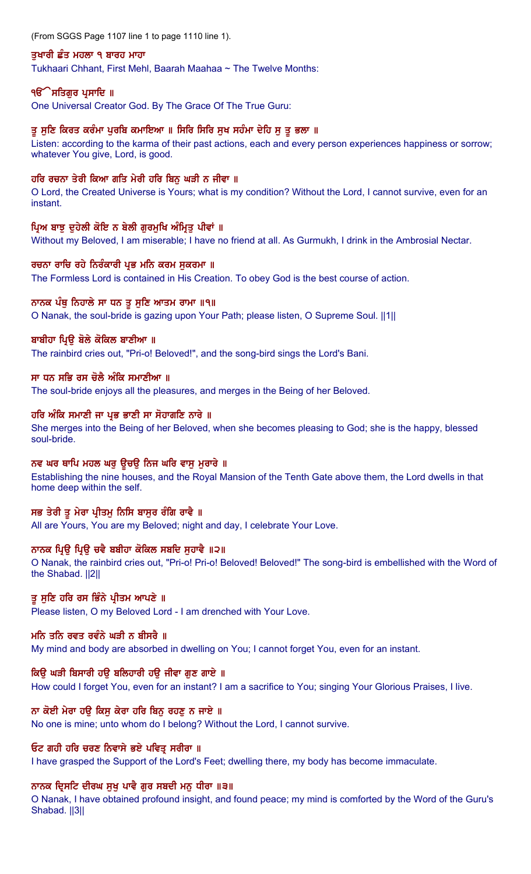(From SGGS Page 1107 line 1 to page 1110 line 1).

## ਤਖਾਰੀ ਛੰਤ ਮਹਲਾ ੧ ਬਾਰਹ ਮਾਹਾ

Tukhaari Chhant, First Mehl, Baarah Maahaa ~ The Twelve Months:

## ੧**ੳੱੇ ਸਤਿਗੁਰ ਪ੍ਰਸਾਦਿ** ॥

One Universal Creator God. By The Grace Of The True Guru:

## ਤੂ ਸੁਣਿ ਕਿਰਤ ਕਰੰਮਾ ਪੂਰਬਿ ਕਮਾਇਆ ॥ ਸਿਰਿ ਸਿਰਿ ਸੁਖ ਸਹੰਮਾ ਦੇਹਿ ਸੁ ਤੂ ਭਲਾ ॥

Listen: according to the karma of their past actions, each and every person experiences happiness or sorrow; whatever You give, Lord, is good.

## ਹਰਿ ਰਚਨਾ ਤੇਰੀ ਕਿਆ ਗਤਿ ਮੇਰੀ ਹਰਿ ਬਿਨੂ ਘੜੀ ਨ ਜੀਵਾ ॥

O Lord, the Created Universe is Yours; what is my condition? Without the Lord, I cannot survive, even for an instant.

## ਪ੍ਰਿਅ ਬਾਝੂ ਦੁਹੇਲੀ ਕੋਇ ਨ ਬੇਲੀ ਗੁਰਮੁਖਿ ਅੰਮ੍ਰਿਤੂ ਪੀਵਾਂ ॥

Without my Beloved, I am miserable; I have no friend at all. As Gurmukh, I drink in the Ambrosial Nectar.

### ਰਚਨਾ ਰਾਚਿ ਰਹੇ ਨਿਰੰਕਾਰੀ ਪ੍ਰਭ ਮਨਿ ਕਰਮ ਸਕਰਮਾ ॥

The Formless Lord is contained in His Creation. To obey God is the best course of action.

## ਨਾਨਕ ਪੰਥੂ ਨਿਹਾਲੇ ਸਾ ਧਨ ਤੁ ਸੁਣਿ ਆਤਮ ਰਾਮਾ ॥੧॥

O Nanak, the soul-bride is gazing upon Your Path; please listen, O Supreme Soul. ||1||

## ਬਾਬੀਹਾ ਪਿੳ ਬੋਲੇ ਕੋਕਿਲ ਬਾਣੀਆ ॥

The rainbird cries out, "Pri-o! Beloved!", and the song-bird sings the Lord's Bani.

## ਸਾ ਧਨ ਸਭਿ ਰਸ ਚੋਲੈ ਅੰਕਿ ਸਮਾਣੀਆ ॥

The soul-bride enjoys all the pleasures, and merges in the Being of her Beloved.

## ਹਰਿ ਅੰਕਿ ਸਮਾਣੀ ਜਾ ਪ੍ਰਭ ਭਾਣੀ ਸਾ ਸੋਹਾਗਣਿ ਨਾਰੇ ॥

She merges into the Being of her Beloved, when she becomes pleasing to God; she is the happy, blessed soul-bride.

### ਨਵ ਘਰ ਥਾਪਿ ਮਹਲ ਘਰ ਉਚਉ ਨਿਜ ਘਰਿ ਵਾਸੂ ਮੁਰਾਰੇ ॥

Establishing the nine houses, and the Royal Mansion of the Tenth Gate above them, the Lord dwells in that home deep within the self.

## ਸਭ ਤੇਰੀ ਤੁ ਮੇਰਾ ਪ੍ਰੀਤਮੁ ਨਿਸਿ ਬਾਸੁਰ ਰੰਗਿ ਰਾਵੈ ॥

All are Yours, You are my Beloved; night and day, I celebrate Your Love.

## ਨਾਨਕ ਪ੍ਰਿਉ ਪ੍ਰਿਉ ਚਵੈ ਬਬੀਹਾ ਕੋਕਿਲ ਸਬਦਿ ਸੁਹਾਵੈ ॥੨॥

O Nanak, the rainbird cries out, "Pri-o! Pri-o! Beloved! Beloved!" The song-bird is embellished with the Word of the Shabad. ||2||

## ਤੂ ਸੁਣਿ ਹਰਿ ਰਸ ਭਿੰਨੇ ਪ੍ਰੀਤਮ ਆਪਣੇ ॥

Please listen, O my Beloved Lord - I am drenched with Your Love.

## ਮਨਿ ਤਨਿ ਰਵਤ ਰਵੰਨੇ ਘੜੀ ਨ ਬੀਸਰੈ ॥

My mind and body are absorbed in dwelling on You; I cannot forget You, even for an instant.

### ਕਿੳ ਘੜੀ ਬਿਸਾਰੀ ਹੳ ਬਲਿਹਾਰੀ ਹੳ ਜੀਵਾ ਗਣ ਗਾਏ ॥

How could I forget You, even for an instant? I am a sacrifice to You; singing Your Glorious Praises, I live.

## ਨਾ ਕੋਈ ਮੇਰਾ ਹਉ ਕਿਸੂ ਕੇਰਾ ਹਰਿ ਬਿਨੂ ਰਹਣੂ ਨ ਜਾਏ ॥

No one is mine; unto whom do I belong? Without the Lord, I cannot survive.

### ਓਟ ਗਹੀ ਹਰਿ ਚਰਣ ਨਿਵਾਸੇ ਭਏ ਪਵਿਤ੍ਰ ਸਰੀਰਾ ॥

I have grasped the Support of the Lord's Feet; dwelling there, my body has become immaculate.

### ਨਾਨਕ ਦ੍ਰਿਸਟਿ ਦੀਰਘ ਸੁਖੁ ਪਾਵੈ ਗੁਰ ਸਬਦੀ ਮਨੁ ਧੀਰਾ ॥੩॥

O Nanak, I have obtained profound insight, and found peace; my mind is comforted by the Word of the Guru's Shabad. ||3||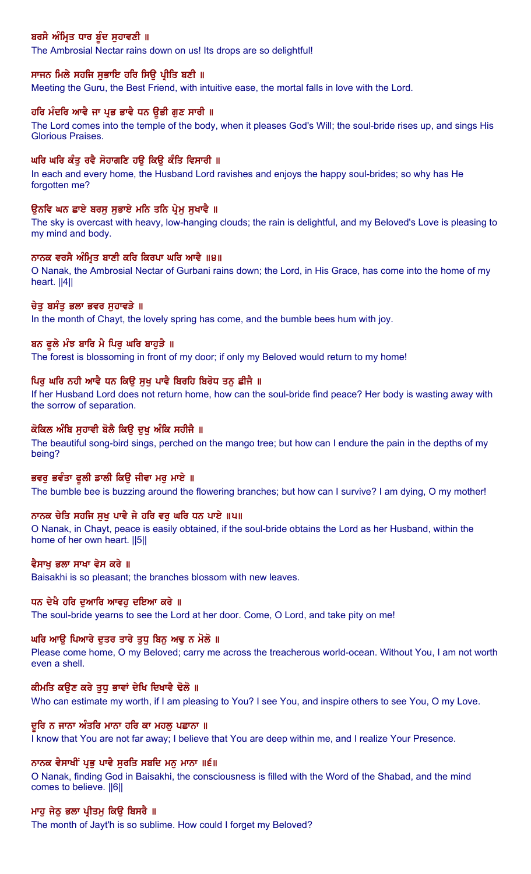# ਬਰਸੈ ਅੰਮ੍ਰਿਤ ਧਾਰ ਬੁੰਦ ਸੁਹਾਵਣੀ ॥

The Ambrosial Nectar rains down on us! Its drops are so delightful!

## ਸਾਜਨ ਮਿਲੇ ਸਹਜਿ ਸੁਭਾਇ ਹਰਿ ਸਿਉ ਪ੍ਰੀਤਿ ਬਣੀ ॥

Meeting the Guru, the Best Friend, with intuitive ease, the mortal falls in love with the Lord.

## ਹਰਿ ਮੰਦਰਿ ਆਵੈ ਜਾ ਪ੍ਰਭ ਭਾਵੈ ਧਨ ਉਭੀ ਗੁਣ ਸਾਰੀ ॥

The Lord comes into the temple of the body, when it pleases God's Will; the soul-bride rises up, and sings His Glorious Praises.

## ਘਰਿ ਘਰਿ ਕੰਤੂ ਰਵੈ ਸੋਹਾਗਣਿ ਹਉ ਕਿਉ ਕੰਤਿ ਵਿਸਾਰੀ ॥

In each and every home, the Husband Lord ravishes and enjoys the happy soul-brides; so why has He forgotten me?

### ਉਨਵਿ ਘਨ ਛਾਏ ਬਰਸੂ ਸੁਭਾਏ ਮਨਿ ਤਨਿ ਪ੍ਰੇਮੂ ਸੁਖਾਵੈ ॥

The sky is overcast with heavy, low-hanging clouds; the rain is delightful, and my Beloved's Love is pleasing to my mind and body.

## ਨਾਨਕ ਵਰਸੈ ਅੰਮ੍ਰਿਤ ਬਾਣੀ ਕਰਿ ਕਿਰਪਾ ਘਰਿ ਆਵੈ ॥੪॥

O Nanak, the Ambrosial Nectar of Gurbani rains down; the Lord, in His Grace, has come into the home of my heart. ||4||

#### ਚੇਤ ਬਸੰਤ ਭਲਾ ਭਵਰ ਸਹਾਵੜੇ ॥

In the month of Chayt, the lovely spring has come, and the bumble bees hum with joy.

### ਬਨ ਫੁਲੇ ਮੰਝ ਬਾਰਿ ਮੈ ਪਿਰ ਘਰਿ ਬਾਹੜੈ ॥

The forest is blossoming in front of my door; if only my Beloved would return to my home!

#### ਪਿਰ ਘਰਿ ਨਹੀ ਆਵੈ ਧਨ ਕਿੳ ਸਖ ਪਾਵੈ ਬਿਰਹਿ ਬਿਰੋਧ ਤਨ ਛੀਜੈ ॥

If her Husband Lord does not return home, how can the soul-bride find peace? Her body is wasting away with the sorrow of separation.

# ਕੋਕਿਲ ਅੰਬਿ ਸੁਹਾਵੀ ਬੋਲੈ ਕਿਉ ਦੁਖ਼ ਅੰਕਿ ਸਹੀਜੈ ॥

The beautiful song-bird sings, perched on the mango tree; but how can I endure the pain in the depths of my being?

#### ਭਵਰੂ ਭਵੰਤਾ ਫੁਲੀ ਡਾਲੀ ਕਿਉ ਜੀਵਾ ਮਰੂ ਮਾਏ ॥

The bumble bee is buzzing around the flowering branches; but how can I survive? I am dying, O my mother!

#### ਨਾਨਕ ਚੇਤਿ ਸਹਜਿ ਸੁਖੂ ਪਾਵੈ ਜੇ ਹਰਿ ਵਰੂ ਘਰਿ ਧਨ ਪਾਏ ॥੫॥

O Nanak, in Chayt, peace is easily obtained, if the soul-bride obtains the Lord as her Husband, within the home of her own heart. ||5||

### ਵੈਸਾਖ ਭਲਾ ਸਾਖਾ ਵੇਸ ਕਰੇ ॥

Baisakhi is so pleasant; the branches blossom with new leaves.

### ਧਨ ਦੇਖੈ ਹਰਿ ਦਆਰਿ ਆਵਹ ਦਇਆ ਕਰੇ ॥

The soul-bride yearns to see the Lord at her door. Come, O Lord, and take pity on me!

## ਘਰਿ ਆਉ ਪਿਆਰੇ ਦੁਤਰ ਤਾਰੇ ਤੁਧੂ ਬਿਨੂ ਅਢੁ ਨ ਮੋਲੋ ॥

Please come home, O my Beloved; carry me across the treacherous world-ocean. Without You, I am not worth even a shell.

#### ਕੀਮਤਿ ਕੳਣ ਕਰੇ ਤਧ ਭਾਵਾਂ ਦੇਖਿ ਦਿਖਾਵੈ ਢੋਲੋ ॥

Who can estimate my worth, if I am pleasing to You? I see You, and inspire others to see You, O my Love.

#### ਦੂਰਿ ਨ ਜਾਨਾ ਅੰਤਰਿ ਮਾਨਾ ਹਰਿ ਕਾ ਮਹਲੂ ਪਛਾਨਾ ॥

I know that You are not far away; I believe that You are deep within me, and I realize Your Presence.

#### ਨਾਨਕ ਵੈਸਾਖੀਂ ਪ੍ਰਭੂ ਪਾਵੈ ਸੁਰਤਿ ਸਬਦਿ ਮਨੁ ਮਾਨਾ ॥੬॥

O Nanak, finding God in Baisakhi, the consciousness is filled with the Word of the Shabad, and the mind comes to believe. ||6||

#### ਮਾਹ ਜੇਠੂ ਭਲਾ ਪ੍ਰੀਤਮੂ ਕਿਉ ਬਿਸਰੈ ॥

The month of Jayt'h is so sublime. How could I forget my Beloved?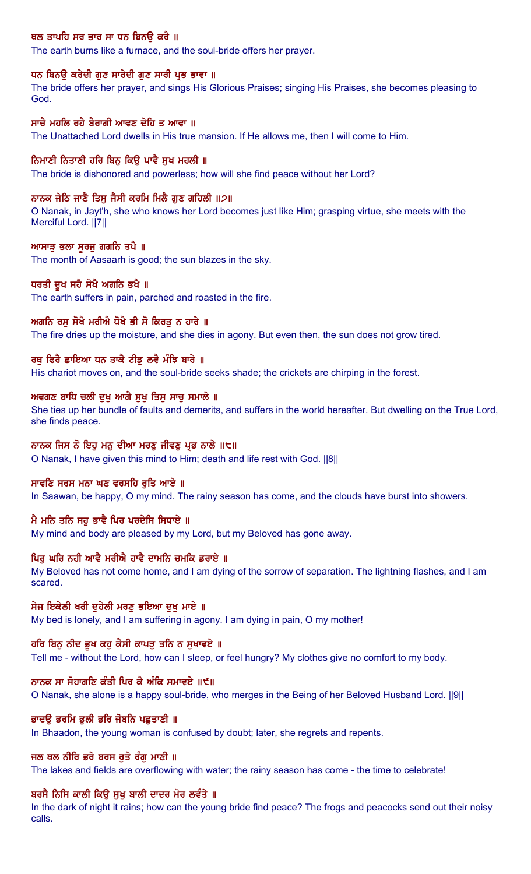# ਥਲ ਤਾਪਹਿ ਸਰ ਭਾਰ ਸਾ ਧਨ ਬਿਨਉ ਕਰੈ ॥

The earth burns like a furnace, and the soul-bride offers her prayer.

## ਧਨ ਬਿਨਉ ਕਰੇਦੀ ਗੁਣ ਸਾਰੇਦੀ ਗੁਣ ਸਾਰੀ ਪ੍ਰਭ ਭਾਵਾ ॥

The bride offers her prayer, and sings His Glorious Praises; singing His Praises, she becomes pleasing to God.

## ਸਾਚੈ ਮਹਲਿ ਰਹੈ ਬੈਰਾਗੀ ਆਵਣ ਦੇਹਿ ਤ ਆਵਾ ॥

The Unattached Lord dwells in His true mansion. If He allows me, then I will come to Him.

## ਨਿਮਾਣੀ ਨਿਤਾਣੀ ਹਰਿ ਬਿਨੂ ਕਿਉ ਪਾਵੈ ਸੁਖ ਮਹਲੀ ॥

The bride is dishonored and powerless; how will she find peace without her Lord?

### ਨਾਨਕ ਜੇਠਿ ਜਾਣੈ ਤਿਸ ਜੈਸੀ ਕਰਮਿ ਮਿਲੈ ਗਣ ਗਹਿਲੀ ॥੭॥

O Nanak, in Jayt'h, she who knows her Lord becomes just like Him; grasping virtue, she meets with the Merciful Lord. ||7||

#### ਆਸਾੜੂ ਭਲਾ ਸੁਰਜੁ ਗਗਨਿ ਤਪੈ ॥

The month of Aasaarh is good; the sun blazes in the sky.

#### ਧਰਤੀ ਦੁਖ ਸਹੈ ਸੋਖੈ ਅਗਨਿ ਭਖੈ ॥

The earth suffers in pain, parched and roasted in the fire.

### ਅਗਨਿ ਰਸ ਸੋਖੈ ਮਰੀਐ ਧੋਖੈ ਭੀ ਸੋ ਕਿਰਤ ਨ ਹਾਰੇ ॥

The fire dries up the moisture, and she dies in agony. But even then, the sun does not grow tired.

## ਰਥੂ ਫਿਰੈ ਛਾਇਆ ਧਨ ਤਾਕੈ ਟੀਡੂ ਲਵੈ ਮੰਝਿ ਬਾਰੇ ॥

His chariot moves on, and the soul-bride seeks shade; the crickets are chirping in the forest.

## ਅਵਗਣ ਬਾਧਿ ਚਲੀ ਦੁਖੁ ਆਗੈ ਸੁਖੁ ਤਿਸੁ ਸਾਚੁ ਸਮਾਲੇ ॥

She ties up her bundle of faults and demerits, and suffers in the world hereafter. But dwelling on the True Lord, she finds peace.

### ਨਾਨਕ ਜਿਸ ਨੋ ਇਹੁ ਮਨੁ ਦੀਆ ਮਰਣੁ ਜੀਵਣੁ ਪ੍ਰਭ ਨਾਲੇ ॥੮॥

O Nanak, I have given this mind to Him; death and life rest with God. ||8||

### ਸਾਵਣਿ ਸਰਸ ਮਨਾ ਘਣ ਵਰਸਹਿ ਰਤਿ ਆਏ ॥

In Saawan, be happy, O my mind. The rainy season has come, and the clouds have burst into showers.

## ਮੈ ਮਨਿ ਤਨਿ ਸਹ ਭਾਵੈ ਪਿਰ ਪਰਦੇਸਿ ਸਿਧਾਏ ॥

My mind and body are pleased by my Lord, but my Beloved has gone away.

#### ਪਿਰ ਘਰਿ ਨਹੀ ਆਵੈ ਮਰੀਐ ਹਾਵੈ ਦਾਮਨਿ ਚਮਕਿ ਡਰਾਏ ॥

My Beloved has not come home, and I am dying of the sorrow of separation. The lightning flashes, and I am scared.

## ਸੇਜ ਇਕੇਲੀ ਖਰੀ ਦਹੇਲੀ ਮਰਣ ਭਇਆ ਦਖ ਮਾਏ ॥

My bed is lonely, and I am suffering in agony. I am dying in pain, O my mother!

### ਹਰਿ ਬਿਨ ਨੀਦ ਭੁਖ ਕਹ ਕੈਸੀ ਕਾਪੜ ਤਨਿ ਨ ਸਖਾਵਏ ॥

Tell me - without the Lord, how can I sleep, or feel hungry? My clothes give no comfort to my body.

## ਨਾਨਕ ਸਾ ਸੋਹਾਗਣਿ ਕੰਤੀ ਪਿਰ ਕੈ ਅੰਕਿ ਸਮਾਵਏ ॥੯॥

O Nanak, she alone is a happy soul-bride, who merges in the Being of her Beloved Husband Lord. ||9||

#### ਭਾਦਉ ਭਰਮਿ ਭੁਲੀ ਭਰਿ ਜੋਬਨਿ ਪਛੁਤਾਣੀ ॥

In Bhaadon, the young woman is confused by doubt; later, she regrets and repents.

### ਜਲ ਥਲ ਨੀਰਿ ਭਰੇ ਬਰਸ ਰਤੇ ਰੰਗ ਮਾਣੀ ॥

The lakes and fields are overflowing with water; the rainy season has come - the time to celebrate!

### ਬਰਸੈ ਨਿਸਿ ਕਾਲੀ ਕਿੳ ਸਖ ਬਾਲੀ ਦਾਦਰ ਮੋਰ ਲਵੰਤੇ ॥

In the dark of night it rains; how can the young bride find peace? The frogs and peacocks send out their noisy calls.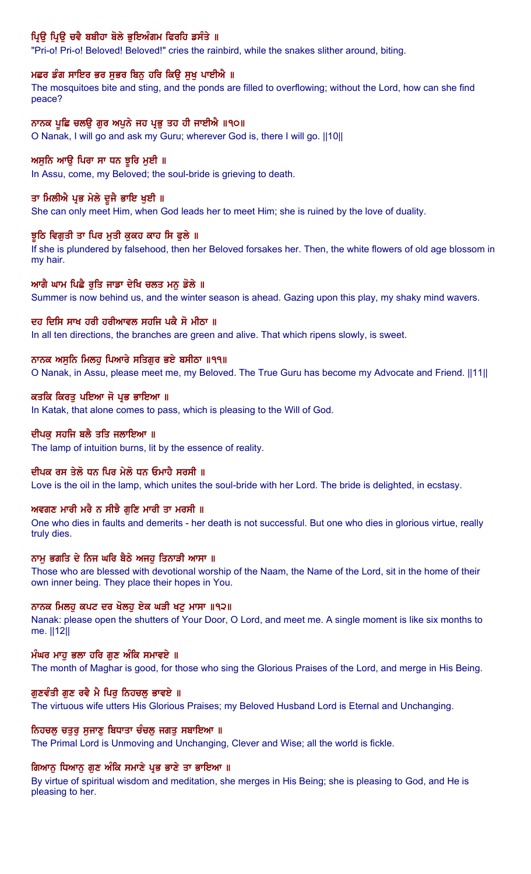# ਪ੍ਰਿਉ ਪ੍ਰਿਉ ਚਵੈ ਬਬੀਹਾ ਬੋਲੇ ਭੁਇਅੰਗਮ ਫਿਰਹਿ ਡਸੰਤੇ ॥

"Pri-o! Pri-o! Beloved! Beloved!" cries the rainbird, while the snakes slither around, biting.

## ਮਛਰ ਡੰਗ ਸਾਇਰ ਭਰ ਸੁਭਰ ਬਿਨੂ ਹਰਿ ਕਿਉ ਸੁਖ਼ ਪਾਈਐ ॥

The mosquitoes bite and sting, and the ponds are filled to overflowing; without the Lord, how can she find peace?

## ਨਾਨਕ ਪੁਛਿ ਚਲਉ ਗੁਰ ਅਪੁਨੇ ਜਹ ਪ੍ਰਭੁ ਤਹ ਹੀ ਜਾਈਐ ॥੧੦॥

O Nanak, I will go and ask my Guru; wherever God is, there I will go. ||10||

## ਅਸੁਨਿ ਆਉ ਪਿਰਾ ਸਾ ਧਨ ਝੁਰਿ ਮੁਈ ॥

In Assu, come, my Beloved; the soul-bride is grieving to death.

## ਤਾ ਮਿਲੀਐ ਪ੍ਰਭ ਮੇਲੇ ਦੂਜੈ ਭਾਇ ਖੁਈ ॥

She can only meet Him, when God leads her to meet Him; she is ruined by the love of duality.

## ਝੁਠਿ ਵਿਗਤੀ ਤਾ ਪਿਰ ਮਤੀ ਕਕਹ ਕਾਹ ਸਿ ਫਲੇ ॥

If she is plundered by falsehood, then her Beloved forsakes her. Then, the white flowers of old age blossom in my hair.

## ਆਗੈ ਘਾਮ ਪਿਛੈ ਰੁਤਿ ਜਾਡਾ ਦੇਖਿ ਚਲਤ ਮਨੁ ਡੋਲੇ ॥

Summer is now behind us, and the winter season is ahead. Gazing upon this play, my shaky mind wavers.

## ਦਹ ਦਿਸਿ ਸਾਖ ਹਰੀ ਹਰੀਆਵਲ ਸਹਜਿ ਪਕੈ ਸੋ ਮੀਠਾ ॥

In all ten directions, the branches are green and alive. That which ripens slowly, is sweet.

## ਨਾਨਕ ਅਸੁਨਿ ਮਿਲਹੂ ਪਿਆਰੇ ਸਤਿਗੁਰ ਭਏ ਬਸੀਠਾ ॥੧੧॥

O Nanak, in Assu, please meet me, my Beloved. The True Guru has become my Advocate and Friend. ||11||

### ਕਤਕਿ ਕਿਰਤੂ ਪਇਆ ਜੋ ਪ੍ਰਭ ਭਾਇਆ ॥

In Katak, that alone comes to pass, which is pleasing to the Will of God.

## ਦੀਪਕ ਸਹਜਿ ਬਲੈ ਤਤਿ ਜਲਾਇਆ ॥

The lamp of intuition burns, lit by the essence of reality.

### ਦੀਪਕ ਰਸ ਤੇਲੋ ਧਨ ਪਿਰ ਮੇਲੋ ਧਨ ਓਮਾਹੈ ਸਰਸੀ ॥

Love is the oil in the lamp, which unites the soul-bride with her Lord. The bride is delighted, in ecstasy.

### ਅਵਗਣ ਮਾਰੀ ਮਰੈ ਨ ਸੀਝੈ ਗਣਿ ਮਾਰੀ ਤਾ ਮਰਸੀ ॥

One who dies in faults and demerits - her death is not successful. But one who dies in glorious virtue, really truly dies.

### ਨਾਮ ਭਗਤਿ ਦੇ ਨਿਜ ਘਰਿ ਬੈਠੇ ਅਜਹ ਤਿਨਾੜੀ ਆਸਾ ॥

Those who are blessed with devotional worship of the Naam, the Name of the Lord, sit in the home of their own inner being. They place their hopes in You.

## ਨਾਨਕ ਮਿਲਹ ਕਪਟ ਦਰ ਖੋਲਹ ਏਕ ਘੜੀ ਖਟ ਮਾਸਾ ॥੧੨॥

Nanak: please open the shutters of Your Door, O Lord, and meet me. A single moment is like six months to me. ||12||

### ਮੰਘਰ ਮਾਹ ਭਲਾ ਹਰਿ ਗਣ ਅੰਕਿ ਸਮਾਵਏ ॥

The month of Maghar is good, for those who sing the Glorious Praises of the Lord, and merge in His Being.

### ਗੁਣਵੰਤੀ ਗੁਣ ਰਵੈ ਮੈ ਪਿਰੂ ਨਿਹਚਲੂ ਭਾਵਏ ॥

The virtuous wife utters His Glorious Praises; my Beloved Husband Lord is Eternal and Unchanging.

## ਨਿਹਚਲੂ ਚਤੁਰੂ ਸੁਜਾਣੂ ਬਿਧਾਤਾ ਚੰਚਲੂ ਜਗਤੂ ਸਬਾਇਆ ॥

The Primal Lord is Unmoving and Unchanging, Clever and Wise; all the world is fickle.

## ਗਿਆਨੂ ਧਿਆਨੂ ਗੁਣ ਅੰਕਿ ਸਮਾਣੇ ਪ੍ਰਭ ਭਾਣੇ ਤਾ ਭਾਇਆ ॥

By virtue of spiritual wisdom and meditation, she merges in His Being; she is pleasing to God, and He is pleasing to her.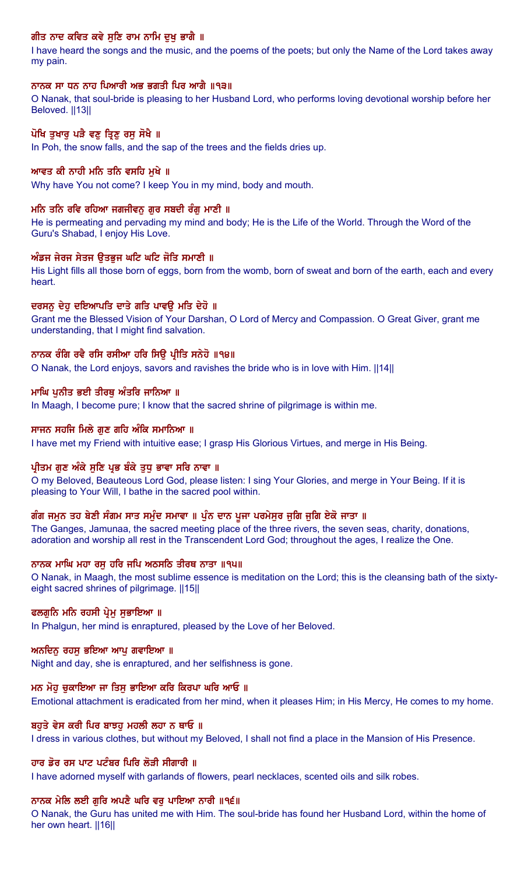# ਗੀਤ ਨਾਦ ਕਵਿਤ ਕਵੇ ਸੁਣਿ ਰਾਮ ਨਾਮਿ ਦੁਖ਼ ਭਾਗੈ ॥

I have heard the songs and the music, and the poems of the poets; but only the Name of the Lord takes away my pain.

## ਨਾਨਕ ਸਾ ਧਨ ਨਾਹ ਪਿਆਰੀ ਅਭ ਭਗਤੀ ਪਿਰ ਆਗੈ ॥੧੩॥

O Nanak, that soul-bride is pleasing to her Husband Lord, who performs loving devotional worship before her Beloved. ||13||

## ਪੋਖਿ ਤੁਖਾਰੂ ਪੜੈ ਵਣੂ ਤ੍ਰਿਣੂ ਰਸੂ ਸੋਖੈ ॥

In Poh, the snow falls, and the sap of the trees and the fields dries up.

## ਆਵਤ ਕੀ ਨਾਹੀ ਮਨਿ ਤਨਿ ਵਸਹਿ ਮੁਖੇ ॥

Why have You not come? I keep You in my mind, body and mouth.

## ਮਨਿ ਤਨਿ ਰਵਿ ਰਹਿਆ ਜਗਜੀਵਨੁ ਗੁਰ ਸਬਦੀ ਰੰਗੁ ਮਾਣੀ ॥

He is permeating and pervading my mind and body; He is the Life of the World. Through the Word of the Guru's Shabad, I enjoy His Love.

### ਅੰਡਜ ਜੇਰਜ ਸੇਤਜ ਉਤਭੁਜ ਘਟਿ ਘਟਿ ਜੋਤਿ ਸਮਾਣੀ ॥

His Light fills all those born of eggs, born from the womb, born of sweat and born of the earth, each and every heart.

## ਦਰਸਨੂ ਦੇਹੂ ਦਇਆਪਤਿ ਦਾਤੇ ਗਤਿ ਪਾਵਊ ਮਤਿ ਦੇਹੋ ॥

Grant me the Blessed Vision of Your Darshan, O Lord of Mercy and Compassion. O Great Giver, grant me understanding, that I might find salvation.

## ਨਾਨਕ ਰੰਗਿ ਰਵੈ ਰਸਿ ਰਸੀਆ ਹਰਿ ਸਿਉ ਪ੍ਰੀਤਿ ਸਨੇਹੋ ॥੧੪॥

O Nanak, the Lord enjoys, savors and ravishes the bride who is in love with Him. ||14||

## ਮਾਘਿ ਪੁਨੀਤ ਭਈ ਤੀਰਥੂ ਅੰਤਰਿ ਜਾਨਿਆ ॥

In Maagh, I become pure; I know that the sacred shrine of pilgrimage is within me.

### ਸਾਜਨ ਸਹਜਿ ਮਿਲੇ ਗਣ ਗਹਿ ਅੰਕਿ ਸਮਾਨਿਆ ॥

I have met my Friend with intuitive ease; I grasp His Glorious Virtues, and merge in His Being.

### ਪ੍ਰੀਤਮ ਗੁਣ ਅੰਕੇ ਸੁਣਿ ਪ੍ਰਭ ਬੰਕੇ ਤੁਧੁ ਭਾਵਾ ਸਰਿ ਨਾਵਾ ॥

O my Beloved, Beauteous Lord God, please listen: I sing Your Glories, and merge in Your Being. If it is pleasing to Your Will, I bathe in the sacred pool within.

### ਗੰਗ ਜਮੂਨ ਤਹ ਬੇਣੀ ਸੰਗਮ ਸਾਤ ਸਮੁੰਦ ਸਮਾਵਾ ॥ ਪੁੰਨ ਦਾਨ ਪੂਜਾ ਪਰਮੇਸੁਰ ਜੂਗਿ ਜੂਗਿ ਏਕੋ ਜਾਤਾ ॥

The Ganges, Jamunaa, the sacred meeting place of the three rivers, the seven seas, charity, donations, adoration and worship all rest in the Transcendent Lord God; throughout the ages, I realize the One.

### ਨਾਨਕ ਮਾਘਿ ਮਹਾ ਰਸ ਹਰਿ ਜਪਿ ਅਠਸਠਿ ਤੀਰਥ ਨਾਤਾ ॥੧੫॥

O Nanak, in Maagh, the most sublime essence is meditation on the Lord; this is the cleansing bath of the sixtyeight sacred shrines of pilgrimage. ||15||

### ਫਲਗੂਨਿ ਮਨਿ ਰਹਸੀ ਪ੍ਰੇਮੂ ਸੁਭਾਇਆ ॥

In Phalgun, her mind is enraptured, pleased by the Love of her Beloved.

### ਅਨਦਿਨੁ ਰਹਸੁ ਭਇਆ ਆਪੁ ਗਵਾਇਆ ॥

Night and day, she is enraptured, and her selfishness is gone.

### ਮਨ ਮੋਹ ਚਕਾਇਆ ਜਾ ਤਿਸ ਭਾਇਆ ਕਰਿ ਕਿਰਪਾ ਘਰਿ ਆਓ ॥

Emotional attachment is eradicated from her mind, when it pleases Him; in His Mercy, He comes to my home.

### ਬਹਤੇ ਵੇਸ ਕਰੀ ਪਿਰ ਬਾਝਹ ਮਹਲੀ ਲਹਾ ਨ ਥਾਓ ॥

I dress in various clothes, but without my Beloved, I shall not find a place in the Mansion of His Presence.

### ਹਾਰ ਡੋਰ ਰਸ ਪਾਟ ਪਟੰਬਰ ਪਿਰਿ ਲੋੜੀ ਸੀਗਾਰੀ ॥

I have adorned myself with garlands of flowers, pearl necklaces, scented oils and silk robes.

### ਨਾਨਕ ਮੇਲਿ ਲਈ ਗੁਰਿ ਅਪਣੈ ਘਰਿ ਵਰੁ ਪਾਇਆ ਨਾਰੀ ॥੧੬॥

O Nanak, the Guru has united me with Him. The soul-bride has found her Husband Lord, within the home of her own heart. ||16||